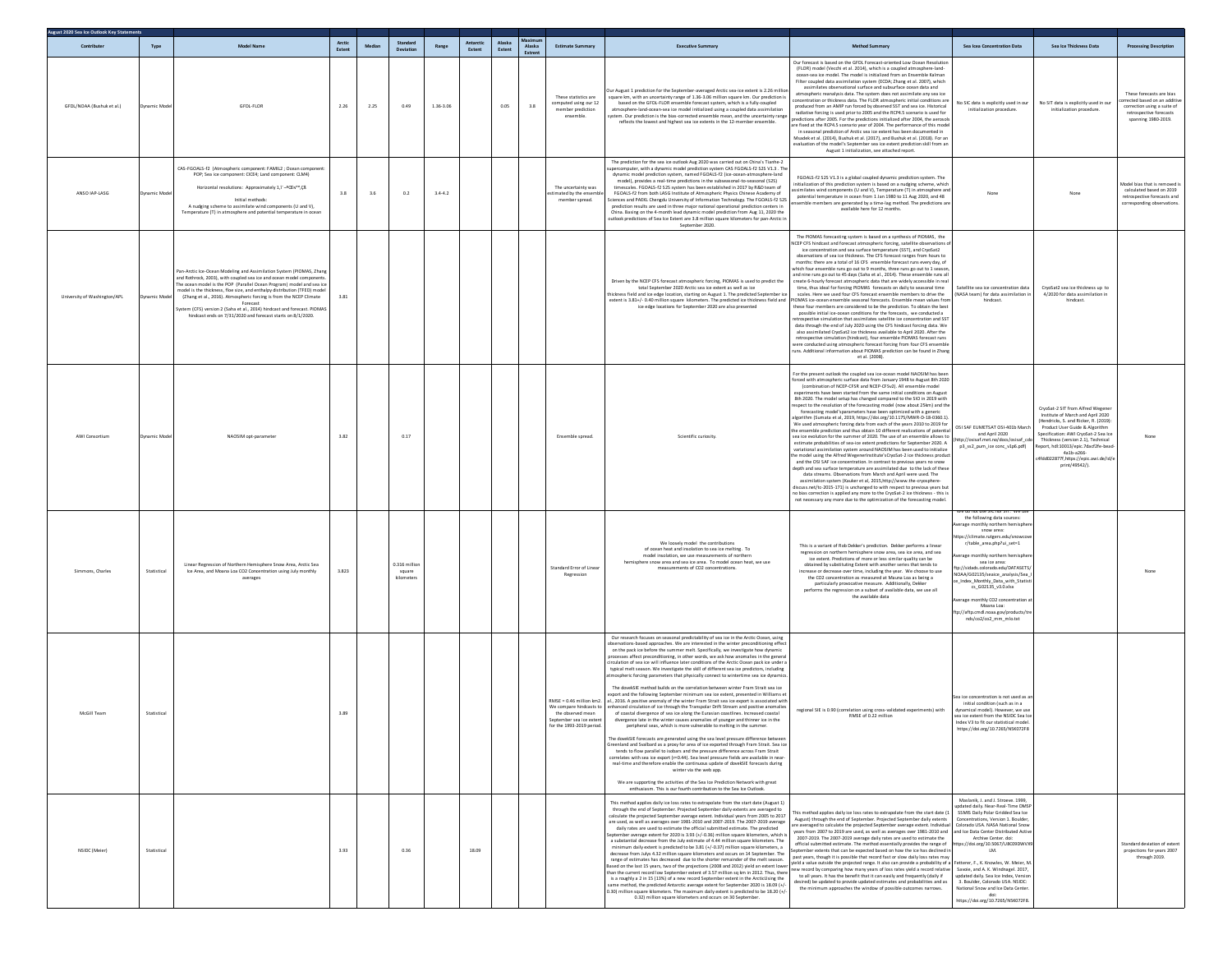| August 2020 Sea Ice Outlook Key Staten<br>Contributer | Type        | Model Nam                                                                                                                                                                                                                                                                                                                                                                                                                                                                                                                  | Arctic         | Median  | Standard                            | Range       | Antarctic | Alaska         | Alaska        | <b>Estimate Summary</b>                                                                                                        | <b>Executive Summary</b>                                                                                                                                                                                                                                                                                                                                                                                                                                                                                                                                                                                                                                                                                                                                                                                                                                                                                                                                                                                                                                                                                                                                                                                                                                                                                                                                                                                                                                                                                                                                                                                                                                                                                                                                                                                                                                                                | Method Summar                                                                                                                                                                                                                                                                                                                                                                                                                                                                                                                                                                                                                                                                                                                                                                                                                                                                                                                                                                                                                                                                                                                                                                                                                                                                                                                                                                                                                                                                                                                                                                                                                               | Sea Icea Concentration Data                                                                                                                                                                                                                                                                                                                                                                                                                                                                                                                | Sea Ice Thickness Data                                                                                                                                                                                                                                                                                                                       | <b>Processing Description</b>                                                                                                            |
|-------------------------------------------------------|-------------|----------------------------------------------------------------------------------------------------------------------------------------------------------------------------------------------------------------------------------------------------------------------------------------------------------------------------------------------------------------------------------------------------------------------------------------------------------------------------------------------------------------------------|----------------|---------|-------------------------------------|-------------|-----------|----------------|---------------|--------------------------------------------------------------------------------------------------------------------------------|-----------------------------------------------------------------------------------------------------------------------------------------------------------------------------------------------------------------------------------------------------------------------------------------------------------------------------------------------------------------------------------------------------------------------------------------------------------------------------------------------------------------------------------------------------------------------------------------------------------------------------------------------------------------------------------------------------------------------------------------------------------------------------------------------------------------------------------------------------------------------------------------------------------------------------------------------------------------------------------------------------------------------------------------------------------------------------------------------------------------------------------------------------------------------------------------------------------------------------------------------------------------------------------------------------------------------------------------------------------------------------------------------------------------------------------------------------------------------------------------------------------------------------------------------------------------------------------------------------------------------------------------------------------------------------------------------------------------------------------------------------------------------------------------------------------------------------------------------------------------------------------------|---------------------------------------------------------------------------------------------------------------------------------------------------------------------------------------------------------------------------------------------------------------------------------------------------------------------------------------------------------------------------------------------------------------------------------------------------------------------------------------------------------------------------------------------------------------------------------------------------------------------------------------------------------------------------------------------------------------------------------------------------------------------------------------------------------------------------------------------------------------------------------------------------------------------------------------------------------------------------------------------------------------------------------------------------------------------------------------------------------------------------------------------------------------------------------------------------------------------------------------------------------------------------------------------------------------------------------------------------------------------------------------------------------------------------------------------------------------------------------------------------------------------------------------------------------------------------------------------------------------------------------------------|--------------------------------------------------------------------------------------------------------------------------------------------------------------------------------------------------------------------------------------------------------------------------------------------------------------------------------------------------------------------------------------------------------------------------------------------------------------------------------------------------------------------------------------------|----------------------------------------------------------------------------------------------------------------------------------------------------------------------------------------------------------------------------------------------------------------------------------------------------------------------------------------------|------------------------------------------------------------------------------------------------------------------------------------------|
| GFDL/NOAA (Bushuk et al.)                             | vnamic Mode | <b>GFDL-FLOR</b>                                                                                                                                                                                                                                                                                                                                                                                                                                                                                                           | Extent<br>2.26 | 2.25    | 0.49                                | 1.36-3.06   | Extent    | Extent<br>0.05 | Extrem<br>3.8 | These statistics are<br>computed using our 12<br>member prediction<br>ensemble.                                                | lur August 1 prediction for the September-averaged Arctic sea-ice extent is 2.26 millio<br>juare km, with an uncertainty range of 1.36-3.06 million square km. Our prediction is<br>based on the GFDL-FLOR ensemble forecast system, which is a fully coupled<br>stmosphere-land-ocean-sea ice model initialized using a coupled data assimilation<br>stem. Our prediction is the bias-corrected ensemble mean, and the uncertainty range<br>reflects the lowest and highest sea ice extents in the 12-member ensemble                                                                                                                                                                                                                                                                                                                                                                                                                                                                                                                                                                                                                                                                                                                                                                                                                                                                                                                                                                                                                                                                                                                                                                                                                                                                                                                                                                  | Our forecast is based on the GFDL Forecast-oriented Low Ocean Resolution<br>(FLOR) model (Vecchi et al. 2014), which is a coupled atmosphere-land-<br>ocean-sea ice model. The model is initialized from an Ensemble Kalman<br>Filter coupled data assimilation system (ECDA; Zhang et al. 2007), which<br>assimilates observational surface and subsurface ocean data and<br>atmospheric reanalysis data. The system does not assimilate any sea ice<br>ncentration or thickness data. The FLOR atmospheric initial conditions a<br>produced from an AMIP run forced by observed SST and sea ice. Historical<br>radiative forcing is used prior to 2005 and the RCP4.5 scenario is used for<br>redictions after 2005. For the predictions initialized after 2004, the aeros<br>re fixed at the RCP4.5 scenario year of 2004. The performance of this mode<br>in seasonal prediction of Arctic sea ice extent has been documented in<br>Msadek et al. (2014), Bushuk et al. (2017), and Bushuk et al. (2018). For an<br>evaluation of the model's September sea ice extent prediction skill from a<br>August 1 initialization, see attached report.                                                                                                                                                                                                                                                                                                                                                                                                                                                                                         | Vo SIC data is explicitly used in our<br>initialization procedure.                                                                                                                                                                                                                                                                                                                                                                                                                                                                         | No SIT data is explicitly used in our<br>initialization procedure.                                                                                                                                                                                                                                                                           | These forecasts are bias<br>xrected based on an additiv<br>correction using a suite of<br>retrospective forecasts<br>spanning 1980-2019. |
| ANSO IAP-LASG                                         | vnamic Mod  | CAS-FGOALS-f2 (Atmospheric component: FAMIL2 ; Ocean component<br>POP; Sea ice component: CICE4; Land component: CLM4)<br>Horizontal resolutions: Approximately 1.1"-9CEiv"*.CB<br>Initial methods:<br>A nudging scheme to assimilate wind components (U and V),<br>Temperature (T) in atmosphere and potential temperature in ocean                                                                                                                                                                                       | 3.8            | $3.6\,$ | 0.2                                 | $3.4 - 4.2$ |           |                |               | The uncertainty was<br>imated by the enseml<br>member spread.                                                                  | The prediction for the sea ice outlook Aug 2020 was carried out on China's Tianhe-2<br>ercomputer, with a dynamic model prediction system CAS FGOALS-f2 S2S V1.3 . The<br>dynamic model prediction system, named FGOALS-f2 (ice-ocean-atmosphere-land<br>model), provides a real-time predictions in the subseasonal-to-seasonal (S2S)<br>timescales. FGOALS-f2 S2S system has been established in 2017 by R&D team of<br>FGOALS-f2 from both LASG Institute of Atmospheric Physics Chinese Academy of<br>iences and PAEKL Chengdu University of Information Technology. The FGOALS-f2 S2S<br>prediction results are used in three major national operational prediction centers in<br>China. Basing on the 4-month lead dynamic model prediction from Aug 11, 2020 the<br>outlook predictions of Sea Ice Extent are 3.8 million square kilometers for pan-Arctic i<br>September 2020.                                                                                                                                                                                                                                                                                                                                                                                                                                                                                                                                                                                                                                                                                                                                                                                                                                                                                                                                                                                                  | FGOALS-f2 S2S V1.3 is a global coupled dynamic prediction system. The<br>nitialization of this prediction system is based on a nudging scheme, which<br>similates wind components (U and V), Temperature (T) in atmosphere and<br>potential temperature in ocean from 1 Jan 1980 to 11 Aug 2020, and 48<br>emble members are generated by a time-lag method. The predictions a<br>available here for 12 months.                                                                                                                                                                                                                                                                                                                                                                                                                                                                                                                                                                                                                                                                                                                                                                                                                                                                                                                                                                                                                                                                                                                                                                                                                             |                                                                                                                                                                                                                                                                                                                                                                                                                                                                                                                                            |                                                                                                                                                                                                                                                                                                                                              | Model bias that is removed i<br>calculated based on 2019<br>retrospective forecasts and<br>corresponding observations.                   |
| University of Washington/APL                          |             | Pan-Arctic Ice-Ocean Modeling and Assimilation System (PIOMAS, Zhang<br>and Rothrock, 2003), with coupled sea ice and ocean model component<br>The ocean model is the POP (Parallel Ocean Program) model and sea ic<br>model is the thickness, floe size, and enthalpy distribution (TFED) mode<br>(Zhang et al., 2016). Atmospheric forcing is from the NCEP Climate<br>Forecast<br>ystem (CFS) version 2 (Saha et al., 2014) hindcast and forecast, PIOMA<br>hindcast ends on 7/31/2020 and forecast starts on 8/1/2020. | 3.81           |         |                                     |             |           |                |               |                                                                                                                                | Driven by the NCEP CFS forecast atmospheric forcing, PIOMAS is used to predict the<br>total September 2020 Arctic sea ice extent as well as ice<br>hickness field and ice edge location, starting on August 1. The predicted Septemb<br>extent is 3.81+/- 0.40 million square kilometers. The predicted ice thickness field and PIOMAS ice-ocean ensemble seasonal forecasts. Ensemble mean values fro<br>ice edge locations for September 2020 are also presented                                                                                                                                                                                                                                                                                                                                                                                                                                                                                                                                                                                                                                                                                                                                                                                                                                                                                                                                                                                                                                                                                                                                                                                                                                                                                                                                                                                                                      | The PIOMAS forecasting system is based on a synthesis of PIOMAS, the<br>ICEP CFS hindcast and forecast atmospheric forcing, satellite obse<br>ice concentration and sea surface temperature (SST), and CryoSat2<br>observations of sea ice thickness. The CFS forecast ranges from hours to<br>months: there are a total of 16 CFS ensemble forecast runs every day, of<br>which four ensemble runs go out to 9 months, three runs go out to 1 seaso<br>and nine runs go out to 45 days (Saha et al., 2014). These ensemble runs al<br>create 6-hourly forecast atmospheric data that are widely accessible in real<br>time, thus ideal for forcing PIOMAS forecasts on daily to seasonal time<br>scales. Here we used four CFS forecast ensemble members to drive the<br>these four members are considered to be the prediction. To obtain the best<br>possible initial ice-ocean conditions for the forecasts, we conducted a<br>etrospective simulation that assimilates satellite ice concentration and SST<br>data through the end of July 2020 using the CFS hindcast forcing data. We<br>also assimilated CryoSat2 ice thickness available to April 2020. After the<br>retrospective simulation (hindcast), four ensemble PIOMAS forecast runs<br>were conducted using atmospheric forecast forcing from four CFS ensemb<br>runs. Additional information about PIOMAS prediction can be found in Zhang<br>et al. (2008).                                                                                                                                                                                                             | satellite sea ice concentration data<br>(NASA team) for data assimilation i<br>hindcast.                                                                                                                                                                                                                                                                                                                                                                                                                                                   | CryoSat2 sea ice thickness up to<br>4/2020 for data assimilation in<br>hindcast.                                                                                                                                                                                                                                                             |                                                                                                                                          |
| AWI Consortium                                        | ynamic Mod  | NAOSIM opt-paramete                                                                                                                                                                                                                                                                                                                                                                                                                                                                                                        | 3.82           |         | 0.17                                |             |           |                |               | Ensemble spread.                                                                                                               | Scientific curiosity.                                                                                                                                                                                                                                                                                                                                                                                                                                                                                                                                                                                                                                                                                                                                                                                                                                                                                                                                                                                                                                                                                                                                                                                                                                                                                                                                                                                                                                                                                                                                                                                                                                                                                                                                                                                                                                                                   | For the present outlook the coupled sea ice-ocean model NAOSIM has been<br>forced with atmospheric surface data from January 1948 to August 8th 2020<br>(combination of NCEP-CFSR and NCEP-CFSv2). All ensemble model<br>experiments have been started from the same initial conditions on August<br>8th 2020. The model setup has changed compared to the SIO in 2019 with<br>espect to the resolution of the forecasting model (now about 25km) and th<br>forecasting model'sparameters have been optimized with a generic<br>Ilgorithm (Sumata et al, 2019, https://doi.org/10.1175/MWR-D-18-0360.1).<br>We used atmospheric forcing data from each of the years 2010 to 2019 for<br>the ensemble prediction and thus obtain 10 different realizations of potentia<br>sea ice evolution for the summer of 2020. The use of an ensemble allows to<br>estimate probabilities of sea-ice extent predictions for September 2020. A<br>variational assimilation system around NAOSIM has been used to initialize<br>te model using the Alfred WegenerInstitute'sCryoSat-2 ice thickness produc<br>and the OSI SAF ice concentration. In contrast to previous years no snow<br>depth and sea surface temperature are assimilated due to the lack of these<br>data streams. Observations from March and April were used. The<br>assimilation system (Kauker et al, 2015, http://www.the-cryosphere<br>discuss.net/tc-2015-171) is unchanged to with respect to previous years bu<br>no bias correction is applied any more to the CryoSat-2 ice thickness - this is<br>not necessary any more due to the optimization of the forecasting model. | OSI SAF EUMETSAT OSI-401b March<br>and April 2020<br>ttp://osisaf.met.no/docs/osisaf_cd<br>p3_ss2_pum_ice conc_v1p6.pdf)                                                                                                                                                                                                                                                                                                                                                                                                                   | CryoSat-2 SIT from Alfred Wegene<br>Institute of March and April 2020<br>(Hendricks, S. and Ricker, R. (2019):<br>Product User Guide & Algorithm<br>Specification: AWI CryoSat-2 Sea Ic<br>Thickness (version 2.1), Technical<br>eport, hdl:10013/epic.7dacf2fe-bear<br>4a1b-a266-<br>4fdd022877f,https://epic.awi.de/id/e<br>print/49542/). | None                                                                                                                                     |
| Simmons, Charles                                      | Statistical | Linear Regression of Northern Hemisphere Snow Area, Arctic Sea<br>Ice Area, and Moana Loa CO2 Concentration using July monthly<br>averages                                                                                                                                                                                                                                                                                                                                                                                 | 3.823          |         | 0.316 milli<br>square<br>kilometer: |             |           |                |               | Standard Error of Linear<br>Regression                                                                                         | We loosely model the contributions<br>of ocean heat and insolation to sea ice melting. To<br>model insolation, we use measurements of north<br>hemisphere snow area and sea ice area. To model ocean heat, we use<br>measurements of CO2 concentrations                                                                                                                                                                                                                                                                                                                                                                                                                                                                                                                                                                                                                                                                                                                                                                                                                                                                                                                                                                                                                                                                                                                                                                                                                                                                                                                                                                                                                                                                                                                                                                                                                                 | This is a variant of Rob Dekker's prediction. Dekker performs a linear<br>regression on northern hemisphere snow area, sea ice area. and sea<br>ice extent. Predictions of more or less similar quality can be<br>obtained by substituting Extent with another series that tends to<br>increase or decrease over time, including the year. We choose to use<br>the CO2 concentration as measured at Mauna Loa as being a<br>particularly provocative measure. Additionally, Dekke<br>performs the regression on a subset of available data, we use all<br>the available data                                                                                                                                                                                                                                                                                                                                                                                                                                                                                                                                                                                                                                                                                                                                                                                                                                                                                                                                                                                                                                                                | re do not use SIC nor SIT. We us<br>the following data sources:<br>erage monthly northern hemisphe<br>snow area:<br>ttps://climate.rutgers.edu/sn<br>r/table_area.php?ui_set=1<br>nthly northern he<br>sea ice area:<br>p://sidads.colorado.edu/DATASETS/<br>iOAA/G02135/seaice_analysis/Sea_I<br>_Index_Monthly_Data_with_Statis<br>cs G02135 v3.0.xlsx<br>erage monthly CO2 concentration<br>Moana Loa:<br>ftp://aftp.cmdl.noaa.gov/products/tre<br>nds/co2/co2_mm_mlo.txt                                                               |                                                                                                                                                                                                                                                                                                                                              | Non                                                                                                                                      |
| McGill Team                                           | Statistical |                                                                                                                                                                                                                                                                                                                                                                                                                                                                                                                            | 3.89           |         |                                     |             |           |                |               | MSE = 0.46 million km2<br>We compare hindcasts to<br>the observed mean<br>September sea ice exten<br>for the 1993-2019 period. | Our research focuses on seasonal predictability of sea ice in the Arctic Ocean, using<br>servations-based approaches. We are interested in the winter preconditioning effec<br>on the pack ice before the summer melt. Specifically, we investigate how dynamic<br>processes affect preconditioning, in other words, we ask how anomalies in the genera<br>rculation of sea ice will influence later conditions of the Arctic Ocean pack ice under a<br>typical melt season. We investigate the skill of different sea ice predictors, including<br>nospheric forcing parameters that physically connect to wintertime sea ice dynamic<br>The dovekSIE method builds on the correlation between winter Fram Strait sea ice<br>xport and the following September minimum sea ice extent, presented in Williams e<br>., 2016. A positive anomaly of the winter Fram Strait sea ice export is associated with<br>hanced circulation of ice through the Transpolar Drift Stream and positive anomalies<br>of coastal divergence of sea ice along the Eurasian coastlines. Increased coastal<br>divergence late in the winter causes anomalies of younger and thinner ice in the<br>peripheral seas, which is more vulnerable to melting in the su<br>The dovekSIE forecasts are generated using the sea level pressure difference betweer<br>reenland and Svalbard as a proxy for area of ice exported through Fram Strait. Sea ice<br>tends to flow parallel to isobars and the pressure difference across Fram Strait<br>correlates with sea ice export (r=0.44). Sea level pressure fields are available in near-<br>real-time and therefore enable the continuous update of dovekSIE forecasts during<br>winter via the web ann<br>We are supporting the activities of the Sea Ice Prediction Network with great<br>enthusiasm. This is our fourth contribution to the Sea Ice Outlook. | regional SIE is 0.90 (correlation using cross-validated experiments) with<br>RMSE of 0.22 million                                                                                                                                                                                                                                                                                                                                                                                                                                                                                                                                                                                                                                                                                                                                                                                                                                                                                                                                                                                                                                                                                                                                                                                                                                                                                                                                                                                                                                                                                                                                           | ea ice concentration is not used as a<br>initial condition (such as in a<br>dynamical model). However, we use<br>sea ice extent from the NSIDC Sea Ici<br>Index V3 to fit our statistical model<br>tps://doi.org/10.7265/N5K07                                                                                                                                                                                                                                                                                                             |                                                                                                                                                                                                                                                                                                                                              |                                                                                                                                          |
| NSIDC (Meier)                                         | Statistical |                                                                                                                                                                                                                                                                                                                                                                                                                                                                                                                            | 3.93           |         | 0.36                                |             | 18.09     |                |               |                                                                                                                                | his method applies daily ice loss rates to extrapolate from the start date (August 1)<br>through the end of September. Projected September daily extents are averaged to<br>calculate the projected September average extent. Individual years from 2005 to 2017<br>are used, as well as averages over 1981-2010 and 2007-2019. The 2007-2019 average<br>daily rates are used to estimate the official submitted estimate. The predicted<br>otember average extent for 2020 is 3.93 (+/-0.36) million square kilometers, which is<br>a substantial decrease from the July estimate of 4.44 million square kilometers. The<br>ninimum daily extent is predicted to be 3.81 (+/-0.37) million square kilometers, a<br>decrease from Julys 4.32 million square kilometers and occurs on 14 September. The<br>range of estimates has decreased due to the shorter remainder of the melt season.<br>Based on the last 15 years, two of the projections (2008 and 2012) yield an extent lowe<br>han the current record low September extent of 3.57 million so km in 2012. Thus, there<br>is a roughly a 2 in 15 (13%) of a new record September extent in the ArcticUsing the<br>same method, the predicted Antarctic average extent for September 2020 is 18.09 (+/<br>0.30) million square kilometers. The maximum daily extent is predicted to be 18.20 (+/<br>0.32) million square kilometers and occurs on 30 September.                                                                                                                                                                                                                                                                                                                                                                                                                                                                | his method applies daily ice loss rates to extrapolate from the start date (<br>August) through the end of September. Projected September daily extents<br>are averaged to calculate the projected September average extent. Individua<br>years from 2007 to 2019 are used, as well as averages over 1981-2010 and<br>2007-2019. The 2007-2019 average daily rates are used to estimate the<br>official submitted estimate. The method essentially provides the range of<br>eptember extents that can be expected based on how the ice has declined i<br>past years, though it is possible that record fast or slow daily loss rates may<br>yield a value outside the projected range. It also can provide a probability of a<br>new record by comparing how many years of loss rates yield a record relative<br>to all years. It has the benefit that it can easily and frequently (daily if<br>desired) be updated to provide updated estimates and probabilities and as<br>the minimum approaches the window of possible outcomes narrows.                                                                                                                                                                                                                                                                                                                                                                                                                                                                                                                                                                                               | Maslanik, J. and J. Stroeve, 1999.<br>pdated daily. Near-Real-Time DMSP<br>SSMIS Daily Polar Gridded Sea Ice<br>Concentrations, Version 1. Boulder,<br>Colorado USA, NASA National Snow<br>and Ice Data Center Distributed Active<br>Archive Center, doi:<br>tps://doi.org/10.5067/U8C09DWV)<br>LM.<br>Fetterer, F., K. Knowles, W. Meier, M<br>Savoie, and A. K. Windnagel. 2017,<br>updated daily. Sea Ice Index, Version<br>3. Boulder, Colorado USA. NSIDC:<br>National Snow and Ice Data Center.<br>https://doi.org/10.7265/N5K072F8. |                                                                                                                                                                                                                                                                                                                                              | Standard deviation of exten<br>projections for years 2007<br>through 2019.                                                               |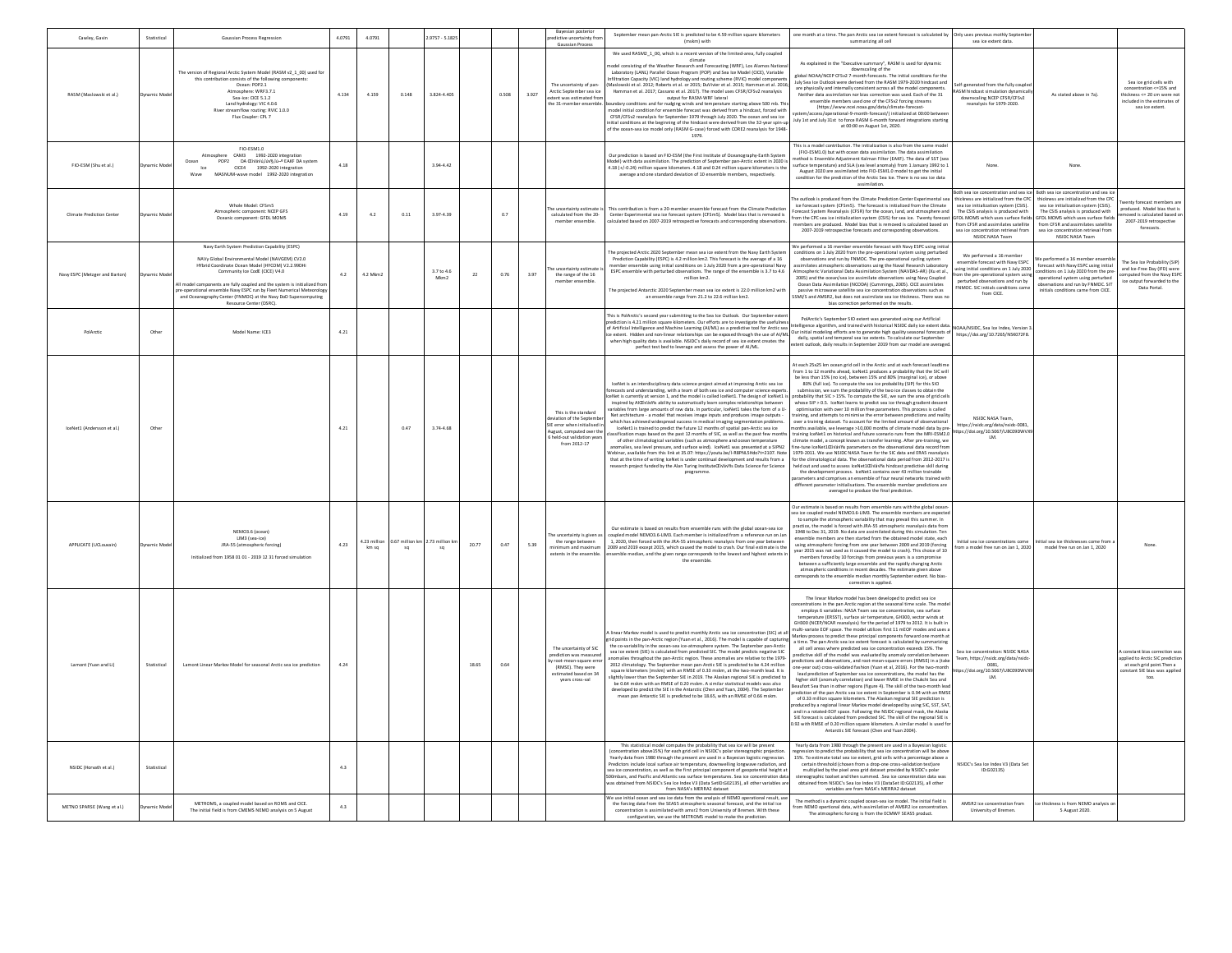| Cawley, Gavin                  | Statistical | Gaussian Process Regression                                                                                                                                                                                                                                                                                                                                                                                                          | 4.0791 | 4.0791             |       | 9757 - 5.1825      |       |         |       | Bayesian posterior<br>redictive uncertainty from<br>Gaussian Process                                                                                  | September mean pan-Arctic SIE is predicted to be 4.59 million square kilometers<br>one month at a time. The pan Arctic sea ice extent forecast is calculated by Only uses previous mothly Septen<br>(mskm) with<br>summarizing all cell<br>sea ice extent data.                                                                                                                                                                                                                                                                                                                                                                                                                                                                                                                                                                                                                                                                                                                                                                                                                                                                                                                                                                                                                                                                                                                                                                                                                                                                                                                                                                                                                                                                                                                                                                                                                                                                                                                                                                                                                                                                                                                                                                                                                                                                                                                                                                                                                                                                                                                                                                                                                                                                                                                                                                                                                                                                                                                                  |                                                                                                                                         |
|--------------------------------|-------------|--------------------------------------------------------------------------------------------------------------------------------------------------------------------------------------------------------------------------------------------------------------------------------------------------------------------------------------------------------------------------------------------------------------------------------------|--------|--------------------|-------|--------------------|-------|---------|-------|-------------------------------------------------------------------------------------------------------------------------------------------------------|--------------------------------------------------------------------------------------------------------------------------------------------------------------------------------------------------------------------------------------------------------------------------------------------------------------------------------------------------------------------------------------------------------------------------------------------------------------------------------------------------------------------------------------------------------------------------------------------------------------------------------------------------------------------------------------------------------------------------------------------------------------------------------------------------------------------------------------------------------------------------------------------------------------------------------------------------------------------------------------------------------------------------------------------------------------------------------------------------------------------------------------------------------------------------------------------------------------------------------------------------------------------------------------------------------------------------------------------------------------------------------------------------------------------------------------------------------------------------------------------------------------------------------------------------------------------------------------------------------------------------------------------------------------------------------------------------------------------------------------------------------------------------------------------------------------------------------------------------------------------------------------------------------------------------------------------------------------------------------------------------------------------------------------------------------------------------------------------------------------------------------------------------------------------------------------------------------------------------------------------------------------------------------------------------------------------------------------------------------------------------------------------------------------------------------------------------------------------------------------------------------------------------------------------------------------------------------------------------------------------------------------------------------------------------------------------------------------------------------------------------------------------------------------------------------------------------------------------------------------------------------------------------------------------------------------------------------------------------------------------------|-----------------------------------------------------------------------------------------------------------------------------------------|
| RASM (Maslowski et al.)        | amic Mo     | The version of Regional Arctic System Model (RASM v2 1 00) used fo<br>this contribution consists of the following comp<br>Ocean: POP2.1<br>Atmosphere: WRF3.7.1<br>Sea-ice: CICE 5.1.2<br>Land hydrology: VIC 4.0.6<br>River streamflow routing: RVIC 1.0.0<br>Flux Coupler: CPL 7                                                                                                                                                   | 4.134  | 4.159              | 0.148 | 3.824-4.405        |       | 0.508   | 3.927 | The uncertainty of par<br>Arctic September sea ice<br>extent was estimated from<br>the 31-member ensemble                                             | We used RASM2_1_00, which is a recent version of the limited-area, fully coupled<br>climate<br>As explained in the "Executive summary", RASM is used for dynamic downscaling of the<br>nodel consisting of the Weather Research and Forecasting (WRF), Los Alamos Nationa<br>Laboratory (LANL) Parallel Ocean Program (POP) and Sea Ice Model (CICE), Variable<br>global NOAA/NCEP CFSy2 7-month forecasts. The initial conditions for the<br>Infiltration Capacity (VIC) land hydrology and routing scheme (RVIC) model components<br>Maslowski et al. 2012; Roberts et al. or 2015; DuVivier et al. 2015; Hamman et al. 2016;<br>luly Sea Ice Outlook were derived from the RASM 1979-2020 hindcast and<br>f-generated from the fully coup<br>are physically and internally consistent across all the model components.<br>Hamman et al. 2017: Cassano et al. 2017). The model uses CFSR/CFSv2 reanalysis<br>ASM hindcast simulation dynamical<br>there are assimilation nor bias correction was used. Each of the 31<br>ensemble members used one of the CFSv2 forcing streams<br>As stated above in 7a).<br>summer even zozzy, cassatory of the RASM-WRF lateral<br>dary conditions and for nudging winds and temperature starting above 500 mb. Thi<br>downscaling NCEP CFSR/CFSv2<br>reanalysis for 1979-2020.<br>(https://www.ncei.noaa.gov/data/climate-forecast-<br>nodel initial condition for ensemble forecast was derived from a hindcast, forced with<br>system/access/operational-9-month-forecast/) initialized at 00:00 between<br>July 1st and July 31st to force RASM 6-month forward integrations starting<br>CFSR/CFSv2 reanalysis for September 1979 through July 2020. The ocean and sea ice<br>itial conditions at the beginning of the hindcast were derived from the 32-year spin-u<br>at 00:00 on August 1st, 2020.<br>of the ocean-sea ice model only (RASM G-case) forced with CORE2 reanalysis for 1948-<br>1979.                                                                                                                                                                                                                                                                                                                                                                                                                                                                                                                                                                                                                                                                                                                                                                                                                                                                                                                                                                                                                                                  | Sea ice grid cells with<br>concentration <= 15% and<br>hickness <= 20 cm were no<br>ncluded in the estimates of<br>sea ice extent.      |
| FIO-ESM (Shu et al.)           | amic Mo     | FIO-ESM1.0<br>Atmosphere CAM3 1992-2020 integratio<br>DA Œivávú,îúv§,îú-º EAKF DA system<br>CICE4 1992-2020 integration<br>Ocean<br>POP2<br>ke<br>MASNUM-wave model 1992-2020 integration<br>Waye                                                                                                                                                                                                                                    | 4.18   |                    |       | 3.94-4.42          |       |         |       |                                                                                                                                                       | This is a model contribution. The initialization is also from the same mode<br>(FIO-ESM1.0) but with ocean data assimilation. The data assimilation<br>Our prediction is based on FIO-ESM (the First Institute of Oceanography-Earth System<br>ethod is Ensemble Adjustment Kalman Filter (FAKE). The data of SST (set<br>Model) with data assimilation. The prediction of September pan-Arctic extent in 2020 is<br>4.18 (+/-0.24) million square kilometers. 4.18 and 0.24 million square kilometers is the<br>urface temperature) and SLA (sea level anomaly) from 1 January 1992 to 1<br>None<br>None<br>August 2020 are assimilated into FIO-ESM1.0 model to get the initial<br>average and one standard deviation of 10 ensemble members, respectively.<br>condition for the prediction of the Arctic Sea Ice. There is no sea ice data<br>assimilation.                                                                                                                                                                                                                                                                                                                                                                                                                                                                                                                                                                                                                                                                                                                                                                                                                                                                                                                                                                                                                                                                                                                                                                                                                                                                                                                                                                                                                                                                                                                                                                                                                                                                                                                                                                                                                                                                                                                                                                                                                                                                                                                                   |                                                                                                                                         |
| Climate Prediction Cente       | namic Mode  | Whole Model: CFSm5<br>Atmospheric component: NCEP GFS<br>Oceanic component: GFDL MOMS                                                                                                                                                                                                                                                                                                                                                | 4.19   | 4.2                | 0.11  | $3.97 - 4.39$      |       | $0.7\,$ |       | he uncertainty estimate<br>calculated from the 20-<br>member ensemble.                                                                                | Both sea ice concentration and sea ice Both sea ice concentration and sea in<br>e outlook is produced from the Climate Prediction Center Exp<br>hickness are initialized from the CPC<br>hickness are initialized from the CP<br>ice forecast system (CFSmS). The forecast is initialized from the Climate<br>sea ice initialization system (CSIS).<br>sea ice initialization system (CSIS).<br>his contribution is from a 20-member ensemble forecast from the Climate Prediction<br>Forecast System Reanalysis (CFSR) for the ocean, land, and atmosphere and The CSIS analysis is produced with<br>from the CPC sea ice initialization system (CSIS) for sea ice. Twenty forecast GFDL MOMS which uses surface field<br>The CSIS analysis is produced with<br>Center Experimental sea ice forecast system (CFSmS). Model bias that is removed is<br><b>SFDL MOMS</b> which uses surface fields<br>Iculated based on 2007-2019 retrospective forecasts and corresponding observations<br>nembers are produced. Model bias that is removed is calculated based on<br>from CFSR and assimilates satellite<br>from CFSR and assimilates satellite<br>2007-2019 retrospective forecasts and corresponding observations.<br>sea ice concentration retrieval from<br>NSIDC NASA Team<br>sea ice concentration retrieval from<br>NSIDC NASA Team                                                                                                                                                                                                                                                                                                                                                                                                                                                                                                                                                                                                                                                                                                                                                                                                                                                                                                                                                                                                                                                                                                                                                                                                                                                                                                                                                                                                                                                                                                                                                                                                                                                      | enty forecast members are<br>roduced Model hias that is<br>roved is calculated based on<br>2007-2019 retrospective<br>forecasts.        |
| Navy ESPC (Metzger and Barton) | namic Mor   | Navy Earth System Prediction Capability (ESPC)<br>NAVy Global Environmental Model (NAVGEM) CV2.0<br>HYbrid Coordinate Ocean Model (HYCOM) V2.2.99DHi<br>Community Ice CodE (CICE) V4.0<br>Il model components are fully coupled and the system is initialized fro<br>re-operational ensemble Navy ESPC run by Fleet Numerical Meteorolo<br>and Oceanography Center (FNMOC) at the Navy DoD Supercomputing<br>Resource Center (DSRC). | 4.2    | 4.2 Mkm2           |       | 3.7 to 4.6<br>Mkm2 | 22    | 0.76    | 3.97  | he uncertainty estimate<br>the range of the 16<br>member ensemble                                                                                     | We performed a 16 member ensemble forecast with Navy ESPC using initia<br>conditions on 1 July 2020 from the pre-operational system using perturbed<br>The projected Arctic 2020 September mean sea ice extent from the Navy Earth Syste<br>We performed a 16 member<br>Prediction Capability (ESPC) is 4.2 million km2. This forecast is the average of a 16<br>observations and run by FNMOC. The pre-operational cycling system<br>e performed a 16 member enser<br>semble forecast with Navy ESPC<br>mber ensemble using initial conditions on 1 July 2020 from a pre-operational Navy<br>ilates atmospheric observations using the Naval Resea<br>forecast with Navy ESPC using initial<br>using initial conditions on 1 July 2020<br>ESPC ensemble with perturbed observations. The range of the ensemble is 3.7 to 4.6<br>Atmospheric Variational Data Assimilation System (NAVDAS-AR) (Xu et al.<br>enditions on 1 July 2020 from the pre-<br>om the pre-operational system using<br>Autospheric valid-mean sous-measurements - yester (1995) and the ocean/sea ice assimilate observations using Navy Coupled<br>- 2005) and the ocean/sea ice assimilate observations using Navy Coupled<br>- Ocean Data Assimilation (<br>million km2.<br>operational system using perturbe<br>observations and run by FNMOC. SI<br>d observations and run by<br>FNMOC. SIC initials conditions came<br>The projected Antarctic 2020 September mean sea ice extent is 22.0 million km2 with<br>passive microwave satellite sea ice concentration observations such as<br>initials conditions came from CICE.<br>from CICE.<br>an ensemble range from 21.2 to 22.6 million km2.<br>.<br>SMI/S and AMSR2, but does not assimilate sea ice thickness. There was no<br>bias correction performed on the results.                                                                                                                                                                                                                                                                                                                                                                                                                                                                                                                                                                                                                                                                                                                                                                                                                                                                                                                                                                                                                                                                                                                                                                                          | The Sea Ice Probability (SIP)<br>and Ice-Free Day (IFD) were<br>mouted from the Navy ESPO<br>ce output forwarded to the<br>Data Portal. |
| PolArctic                      | Other       | Model Name: ICE3                                                                                                                                                                                                                                                                                                                                                                                                                     | 4.21   |                    |       |                    |       |         |       |                                                                                                                                                       | This is PolArctic's second year submitting to the Sea Ice Outlook. Our September exter<br>PolArctic's September SIO extent was generated using our Artificia<br>ediction is 4.21 million square kilometers. Our efforts are to investigate the usefulnes<br>telligence algorithm, and trained with historical NSIDC daily ice extent data.<br>Iur initial modeling efforts are to generate high quality seasonal forecasts of<br>daily, spatial and temporal sea ice extents. To calculate our S<br>of Artificial Intelligence and Machine Learning (AI/ML) as a predictive tool for Arctic sea<br>NOAA/NSIDC Sea Ice Index Version<br>e extent. Hidden and non-linear relationships can be exposed through the use of AI/MI<br>https://doi.org/10.7265/N5K072F8<br>when high quality data is available. NSIDC's daily record of sea ice extent creates the<br>ent outlook, daily results in September 2019 from our model are average<br>perfect test bed to leverage and assess the power of AI/ML.                                                                                                                                                                                                                                                                                                                                                                                                                                                                                                                                                                                                                                                                                                                                                                                                                                                                                                                                                                                                                                                                                                                                                                                                                                                                                                                                                                                                                                                                                                                                                                                                                                                                                                                                                                                                                                                                                                                                                                                            |                                                                                                                                         |
| IceNet1 (Andersson et al.)     | Other       |                                                                                                                                                                                                                                                                                                                                                                                                                                      | 4.21   |                    | 0.47  | $3.74 - 4.68$      |       |         |       | This is the standard<br>ation of the Septem<br>SIE error when initialised in<br>August, computed over the<br>held-out validation year<br>from 2012-17 | At each 25x25 km ocean grid cell in the Arctic and at each forecast leadtim<br>From 1 to 12 months ahead, IceNet1 produces a probability that the SIC will<br>be less than 15% (no ice), between 15% and 80% (marginal ice), or above<br>IceNet is an interdisciplinary data science project aimed at improving Arctic sea ice<br>80% (full ice). To compute the sea ice probability (SIP) for this SIO<br>recasts and understanding, with a team of both sea ice and computer science expert<br>ubmission, we sum the probability of the two ice classes to obtain the<br>ceNet is currently at version 1, and the model is called IceNet1. The design of IceNet1 i<br>robability that SIC > 15%. To compute the SIE, we sum the area of grid cel<br>inspired by AICFN/aVos ability to automatically learn complex relationships betwee<br>whose SIP > 0.5. IceNet learns to predict sea ice through gradient de<br>ables from large amounts of raw data. In particular, IceNet1 takes the form of a U-<br>optimisation with over 10 million free parameters. This process is called<br>Net architecture - a model that receives image inputs and produces image outputs -<br>which has achieved widespread success in medical imaging segmentation problems.<br>raining, and attempts to minimise the error between predictions and realit<br>NSIDC NASA Team<br>wer a training dataset. To account for the limited amount of observations<br>https://nsidc.org/data/nsidc-0081,<br>IceNet1 is trained to predict the future 12 months of spatial pan-Arctic sea ice<br>nths available, we leverage >10,000 months of climate model data by pre-<br>https://doi.org/10.5067/U8C09DWV<br>ssification maps based on the past 12 months of SIC, as well as the past few month<br>aining IceNet1 on historical and future scenario runs from the MRI-ESM2.0<br>of other climatological variables (such as atmosphere and ocean temperature<br>imate model, a concept known as transfer learning. After pre-training, we<br>anomalies, sea level pressure, and surface wind). IceNet1 was presented at a SIPN2<br>ine-tune IceNet1ŒiVávřis parameters on the observational data record fror<br>ebinar, available from this link at 35.07: https://youtu.be/l-R8PNL5Hdo?t=2107. Note<br>1979-2011. We use NSIDC NASA Team for the SIC data and ERAS reanal<br>that at the time of writing IceNet is under continual development and results from a<br>or the climatological data. The observational data period from 2012-2017 i<br>research project funded by the Alan Turing Institute(Eivláviis Data Science for Science<br>held out and used to assess IceNet1CEivaviis hindcast predictive skill during<br>the development process. IceNet1 contains over 43 million trainable<br>programme<br>arameters and comprises an ensemble of four neural networks trained wit<br>different parameter initialisations. The ensemble member predictions are<br>averaged to produce the final prediction. |                                                                                                                                         |
| APPLICATE (UCLouvain)          | amic Mod    | NEMO3.6 (ocean)<br>LIM3 (sea-ice)<br>JRA-55 (atmospheric forcing)<br>Initialized from 1958 01 01 - 2019 12 31 forced simulati                                                                                                                                                                                                                                                                                                        | 4.23   | 23 millio<br>km sa | 50    | sq                 | 20.77 | 0.47    | 5.39  | he uncertainty is given a<br>the range between<br>minimum and maximum<br>extents in the ensembl                                                       | Our estimate is based on results from ensemble runs with the global ocean<br>ea ice coupled model NEMO3.6-LIM3. The ensemble members are expecte<br>to sample the atmospheric variability that may prevail this summer. In<br>tractice, the model is forced with JRA-55 atmospheric reanalysis data from<br>Our estimate is based on results from ensemble runs with the global ocean-sea ice<br>1948 to Dec 31, 2019. No data are assimilated during this simulation. Ten<br>oupled model NEMO3.6-LIM3. Each member is initialized from a reference run on Jan<br>nsemble members are then started from the obtained model state, each<br>1, 2020, then forced with the JRA-55 atmospheric reanalysis from one year between<br>Initial sea ice concentrations come<br>itial sea ice thicknesses come from<br>using atmospheric forcing from one year between 2009 and 2019 (forcing<br>2009 and 2019 except 2015, which caused the model to crash. Our final estimate is the<br>from a model free run on Jan 1, 2020<br>model free run on Jan 1, 2020<br>ear 2015 was not used as it caused the model to crash). This choice of 10<br>emble median, and the given range corresponds to the lowest and highest extents<br>members forced by 10 forcings from previous years is a compror<br>between a sufficiently large ensemble and the rapidly changing Arctic<br>atmospheric conditions in recent decades. The estimate given above<br>corresponds to the ensemble median monthly September extent. No bia:<br>correction is applied.                                                                                                                                                                                                                                                                                                                                                                                                                                                                                                                                                                                                                                                                                                                                                                                                                                                                                                                                                                                                                                                                                                                                                                                                                                                                                                                                                                                                                                                        |                                                                                                                                         |
| Lamont (Yuan and Li)           | Statistical | Lamont Linear Markov Model for seasonal Arctic sea ice prediction                                                                                                                                                                                                                                                                                                                                                                    | 4.24   |                    |       |                    | 18.65 | 0.64    |       | The uncertainty of SIC<br>rediction was mea<br>y root-mean-square ern<br>(RMSE). They were<br>stimated based on 34<br>years cross-val                 | The linear Markov model has been developed to predict sea ice<br>ntrations in the pan Arctic region at the seasonal time scale. The mor<br>employs 6 variables: NASA Team sea ice concentration, sea surface<br>temperature (ERSST), surface air temperature, GH300, vector winds at<br>GH300 (NCEP/NCAR reanalysis) for the period of 1979 to 2012. It is built in<br>nulti-variate EOF space. The model utilizes first 11 mEOF modes and uses a<br>linear Markov model is used to predict monthly Arctic sea ice concentration (SIC) at all<br>Markov process to predict these principal components forward one month a<br>id points in the pan-Arctic region (Yuan et al., 2016). The model is capable of capturing<br>a time. The pan Arctic sea ice extent forecast is calculated by summarizing<br>the co-variability in the ocean-sea ice-atmosphere system. The September pan-Arctic<br>all cell areas where predicted sea ice concentration exceeds 15%. The<br>sea ice extent (SIE) is calculated from predicted SIC. The model predicts negative SIC<br>Sea ice concentration: NSIDC NASA<br>redictive skill of the model was evaluated by anomaly correlati<br>malies throughout the pan-Arctic region. These anomalies are relative to the 1979<br>Team, https://nsidc.org/data/nsidc<br>redictions and observations, and root-mean-square errors (RMSE) in a (take<br>2012 climatology. The September mean pan-Arctic SIE is predicted to be 4.24 million<br>0081<br>one-year out) cross-validated fashion (Yuan et al. 2016). For the two-mont<br>square kilometers (mskm) with an RMSE of 0.33 mskm, at the two-month lead. It is<br>://doi.org/10.5067/U8C09DWV<br>lead prediction of September sea ice concentrations, the model has the<br>lightly lower than the September SIE in 2019. The Alaskan regional SIE is predicted to<br>LM.<br>higher skill (anomaly correlation) and lower RMSE in the Chukchi Sea and<br>be 0.64 mskm with an RMSE of 0.20 mskm. A similar statistical models was also<br>eaufort Sea than in other regions (figure 4). The skill of the two-month lea<br>leveloped to predict the SIE in the Antarctic (Chen and Yuan, 2004). The Septembe<br>diction of the pan Arctic sea ice extent in September is 0.94 with an RMS<br>mean pan Antarctic SIE is predicted to be 18.65, with an RMSE of 0.66 mskm.<br>of 0.33 million square kilometers. The Alaskan regional SIE prediction is<br>duced by a regional linear Markov model developed by using SIC, SST, SAT<br>and in a rotated-EOF space. Following the NSIDC regional mask, the Alaska<br>SIE forecast is calculated from predicted SIC. The skill of the regional SIE is<br>0.92 with RMSE of 0.20 million square kilometers. A similar model is used fo<br>Antarctic SIE forecast (Chen and Yuan 2004).                                                                                                                                                                               | constant bias correction wa<br>pplied to Arctic SIC prediction<br>at each grid point.Then a<br>onstant SIE bias was applied<br>too      |
| NSIDC (Horvath et al.)         | Statistical |                                                                                                                                                                                                                                                                                                                                                                                                                                      | 4.3    |                    |       |                    |       |         |       |                                                                                                                                                       | This statistical model computes the probability that sea ice will be present<br>concentration above 15%) for each grid cell in NSIDC's polar stereographic projection<br>Yearly data from 1980 through the present are used in a Bayesian logi<br>egression to predict the probability that sea ice concentration will be above<br>.<br>Yearly data from 1980 through the present are used in a Bayesian logistic regression.<br>Predictors include local surface air temperature, downwelling longwave radiation, and<br>15%. To estimate total sea ice extent, grid cells with a percentage above a<br>certain threshold (chosen from a drop-one cross-val<br>NSIDC's Sea Ice Index V3 (Data Set<br>on test)are<br>sea ice concentration, as well as the first principal component of geopotential height at<br>multiplied by the pixel area grid dataset provided by NSIDC's polar<br>ID:G021351<br>500mbars, and Pacific and Atlantic sea surface temperatures. Sea ice concentration data<br>the reographic toolset and then summed. Sea ice concentration data was<br>obtained from NSIDC's Sea Ice Index V3 (DataSet ID:G02135), all other<br>as obtained from NSIDC's Sea Ice Index V3 (Data SetID:G02135), all other variables are<br>from NASA's MERRA2 dataset<br>variables are from NASA's MERRA2 dataset                                                                                                                                                                                                                                                                                                                                                                                                                                                                                                                                                                                                                                                                                                                                                                                                                                                                                                                                                                                                                                                                                                                                                                                                                                                                                                                                                                                                                                                                                                                                                                                                                                                                            |                                                                                                                                         |
| METNO SPARSE (Wang et al.)     | amic Mod    | METROMS, a coupled model based on ROMS and CICE.<br>The initial field is from CMEMS NEMO analysis on 5 August                                                                                                                                                                                                                                                                                                                        | 4.3    |                    |       |                    |       |         |       |                                                                                                                                                       | We use initial ocean and sea ice data from the analysis of NEMO operational result, us<br>The method is a dynamic coupled ocean-sea ice model. The initial field is<br>the forcing data from the SEASS atmospheric seasonal forecast, and the initial ice<br>AMSR2 ice concentration from<br>e thickness is from NEMO analysis o<br>rom NEMO opertional data, with assimilation of AMSR2 ice concentration<br>concentration is assimilated with amsr2 from University of Bremen. With these<br>University of Bremen.<br>5 August 2020.<br>The atmospheric forcing is from the ECMWF SEASS product.<br>configuration, we use the METROMS model to make the prediction                                                                                                                                                                                                                                                                                                                                                                                                                                                                                                                                                                                                                                                                                                                                                                                                                                                                                                                                                                                                                                                                                                                                                                                                                                                                                                                                                                                                                                                                                                                                                                                                                                                                                                                                                                                                                                                                                                                                                                                                                                                                                                                                                                                                                                                                                                                             |                                                                                                                                         |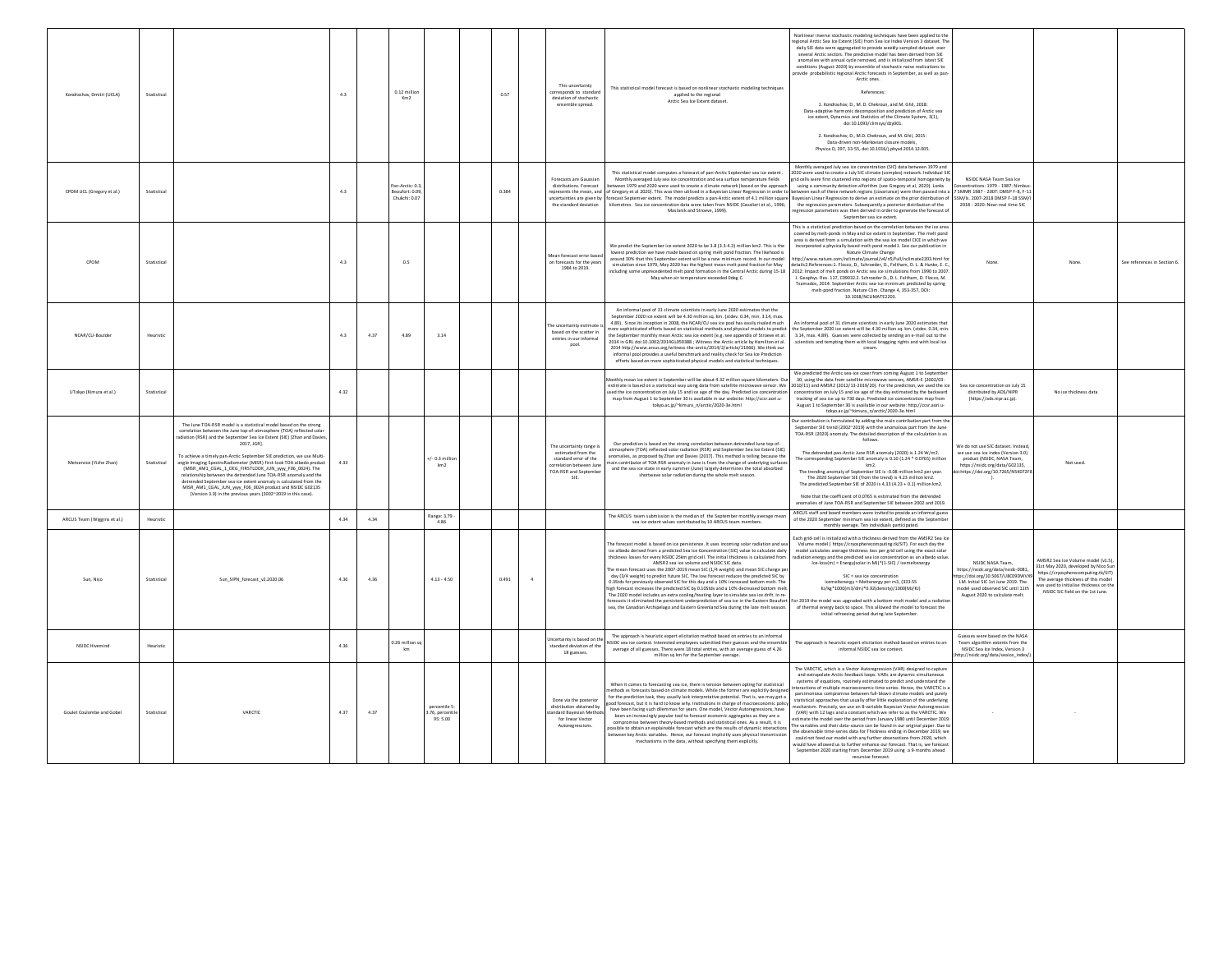| Kondrashov, Dmitri (UCLA)   | Statistica  |                                                                                                                                                                                                                                                                                                                                                                                                                                                                                                                                                                                                                                                                                                                 | 4.3     |      | 0.12 millio<br>Km2                                |                                          | 0.57  | This uncertainty<br>prresponds to standard<br>deviation of stochastic<br>ensemble spread.                                    | This statistical model forecast is based on nonlinear stochastic modeling techniques<br>applied to the regional<br>Arctic Sea Ice Extent dataset.                                                                                                                                                                                                                                                                                                                                                                                                                                                                                                                                                                                                                                                                                                                                                                                                                      | Nonlinear inverse stochastic modeling techniques have been applied to the<br>egional Arctic Sea Ice Extent (SIE) from Sea Ice Index Version 3 dataset. The<br>daily SIE data were aggregated to provide weekly-sampled dataset over<br>several Arctic sectors. The predictive model has been derived from SIE<br>anomalies with annual cycle removed, and is initialized from latest SIE<br>conditions (August 2020) by ensemble of stochastic noise realizations to<br>provide probabilistic regional Arctic forecasts in September, as well as pan-<br>Arctic ones<br>References<br>1. Kondrashov, D., M. D. Chekroun, and M. Ghil, 2018:<br>Data-adaptive harmonic decomposition and prediction of Arctic sea<br>ice extent, Dynamics and Statistics of the Climate System, 3(1),<br>doi:10.1093/climsys/dzy001.<br>2 Kondrashov D. M.D. Chekroun, and M. Ghil, 2015:<br>Data-driven non-Markovian closure mode<br>Physica D, 297, 33-55, doi:10.1016/j.physd.2014.12.005.                                                                                                                               |                                                                                                                                                                                                           |                                                                                                                                                                                                                                      |                             |
|-----------------------------|-------------|-----------------------------------------------------------------------------------------------------------------------------------------------------------------------------------------------------------------------------------------------------------------------------------------------------------------------------------------------------------------------------------------------------------------------------------------------------------------------------------------------------------------------------------------------------------------------------------------------------------------------------------------------------------------------------------------------------------------|---------|------|---------------------------------------------------|------------------------------------------|-------|------------------------------------------------------------------------------------------------------------------------------|------------------------------------------------------------------------------------------------------------------------------------------------------------------------------------------------------------------------------------------------------------------------------------------------------------------------------------------------------------------------------------------------------------------------------------------------------------------------------------------------------------------------------------------------------------------------------------------------------------------------------------------------------------------------------------------------------------------------------------------------------------------------------------------------------------------------------------------------------------------------------------------------------------------------------------------------------------------------|-------------------------------------------------------------------------------------------------------------------------------------------------------------------------------------------------------------------------------------------------------------------------------------------------------------------------------------------------------------------------------------------------------------------------------------------------------------------------------------------------------------------------------------------------------------------------------------------------------------------------------------------------------------------------------------------------------------------------------------------------------------------------------------------------------------------------------------------------------------------------------------------------------------------------------------------------------------------------------------------------------------------------------------------------------------------------------------------------------------|-----------------------------------------------------------------------------------------------------------------------------------------------------------------------------------------------------------|--------------------------------------------------------------------------------------------------------------------------------------------------------------------------------------------------------------------------------------|-----------------------------|
| CPOM UCL (Gregory et al.)   | Statistica  |                                                                                                                                                                                                                                                                                                                                                                                                                                                                                                                                                                                                                                                                                                                 | 4.3     |      | an-Arctic: 0.3<br>Beaufort: 0.09<br>Chukchi: 0.07 |                                          | 0.384 | Forecasts are Gaussian<br>distributions. Forecast<br>the standard deviation                                                  | This statistical model computes a forecast of pan-Arctic September sea ice extent<br>Monthly averaged July sea ice concentration and sea surface temperature fields<br>tween 1979 and 2020 were used to create a climate network (based on the approa<br>epresents the mean, and of Gregory et al 2020). This was then utilised in a Bayesian Linear Regression in order to<br>ncertainties are given by forecast Septemver extent. The model predicts a pan-Arctic extent of 4.1 million square<br>kilometres. Sea ice concentration data were taken from NSIDC (Cavalieri et al., 1996;<br>Maslanik and Stroeve, 1999).                                                                                                                                                                                                                                                                                                                                              | Monthly averaged July sea ice concentration (SIC) data between 1979 and<br>020 were used to create a July SIC climate (complex) network. Individual SI<br>id cells were first clustered into regions of spatio-temporal homogeneity by<br>using a community detection alforithm (see Gregory et al, 2020). Lonks<br>etween each of these network regions (covariance) were then passed into a<br>Bayesian Linear Regression to derive an estimate on the prior distribution of<br>the regression parameters. Subsequently a posterior distribution of the<br>gression parameters was then derived in order to generate the forecast<br>September sea ice extent.                                                                                                                                                                                                                                                                                                                                                                                                                                            | NSIDC NASA Team Sea Ice<br>entrations: 1979 - 1987: Nimbu<br>7 SMMR 1987 - 2007: DMSP F-8, F-11<br>SSM/ls. 2007-2018 DMSP F-18 SSM/I<br>2018 - 2020: Near-real time SIC                                   |                                                                                                                                                                                                                                      |                             |
| CPON                        | Statistica  |                                                                                                                                                                                                                                                                                                                                                                                                                                                                                                                                                                                                                                                                                                                 | 4.3     |      | 0.5                                               |                                          |       | Mean forecast error base<br>on forecasts for the year<br>1984 to 2019.                                                       | We predict the September ice extent 2020 to be 3.8 (3.3-4.3) million km2. This is the<br>lowest prediction we have made based on spring melt pond fraction. The likehood is<br>around 30% that this September extent will be a new minimum record. In our model<br>simulation since 1979, May 2020 has the highest mean melt pond fraction for May<br>ncluding some unprecedented melt pond formation in the Central Arctic during 15-18<br>May when air temperature exceeded 0deg C.                                                                                                                                                                                                                                                                                                                                                                                                                                                                                  | This is a statistical prediction based on the correlation between the ice area<br>covered by melt-ponds in May and ice extent in September. The melt pond<br>area is derived from a simulation with the sea ice model CICE in which we<br>incorporated a physically based melt-pond model1. See our publication in<br>etails2.References:1. Flocco, D., Schroeder, D., Feltham, D. L. & Hunke, E. C<br>1012: Impact of melt ponds on Arctic sea ice simulations from 1990 to 200<br>J. Geophys. Res. 117, C09032.2. Schroeder D., D. L. Feltham, D. Flocco, M.<br>r samados, 2014: September Arctic sea-ice minimum predicted by spring<br>melt-pond fraction. Nature Clim. Change 4, 353-357, DOI:<br>10.1038/NCLIMATE2203                                                                                                                                                                                                                                                                                                                                                                                 |                                                                                                                                                                                                           |                                                                                                                                                                                                                                      | See references in Section 6 |
| NCAR/CU-Boulde              | Heuristic   |                                                                                                                                                                                                                                                                                                                                                                                                                                                                                                                                                                                                                                                                                                                 | $4.3\,$ | 4.37 | 4.89                                              | $_{\rm 3.14}$                            |       | he uncertainty estimat<br>based on the scatter in<br>entries in our informal<br>pool.                                        | An informal pool of 31 climate scientists in early lune 2020 estimates that the<br>September 2020 ice extent will be 4.30 million sq. km. (stdev. 0.34, min. 3.14, max.<br>4.89). Since its inception in 2008, the NCAR/CU sea ice pool has easily rivaled much<br>ore sophisticated efforts based on statistical methods and physical models to predict<br>e September monthly mean Arctic sea ice extent (e.g. see appendix of Stroeve et al.<br>2014 in GRL doi:10.1002/2014GL059388 : Witness the Arctic article by Hamilton et al.<br>2014 http://www.arcus.org/witness-the-arctic/2014/2/article/21066). We think our<br>informal pool provides a useful benchmark and reality check for Sea Ice Prediction<br>efforts based on more sophisticated physical models and statistical techniques.                                                                                                                                                                   | An informal pool of 31 climate scientists in early June 2020 estimates that<br>he September 2020 ice extent will be 4.30 million sq. km. (stdev. 0.34, min<br>3.14, max. 4.89). Guesses were collected by sending an e-mail out to the<br>scientists and tempting them with local bragging rights and with local ice<br>cream.                                                                                                                                                                                                                                                                                                                                                                                                                                                                                                                                                                                                                                                                                                                                                                              |                                                                                                                                                                                                           |                                                                                                                                                                                                                                      |                             |
| UTokyo (Kimura et al.)      | Statistica  |                                                                                                                                                                                                                                                                                                                                                                                                                                                                                                                                                                                                                                                                                                                 | 4.32    |      |                                                   |                                          |       |                                                                                                                              | thly mean ice extent in September will be about 4.32 million square kilometers. Ou<br>estimate is based on a statistical way using data from satellite microwaye sensor. We<br>sed the ice concentration on July 15 and ice age of the day. Predicted ice concentrati<br>map from August 1 to September 30 is available in our website: http://ccsr.aori.u-<br>tokyo.ac.jp/~kimura_n/arctic/2020-3e.html                                                                                                                                                                                                                                                                                                                                                                                                                                                                                                                                                               | We predicted the Arctic sea-ice cover from coming August 1 to Septembe<br>30, using the data from satellite microwave sensors, AMSR-E (2002/03-<br>2010/11) and AMSR2 (2012/13-2019/20). For the prediction, we used the io<br>oncentration on July 15 and ice age of the day estimated by the backward<br>tracking of sea ice up to 730 days. Predicted ice concentration map from<br>August 1 to September 30 is available in our website: http://ccsr.aori.u-<br>tokyo.ac.jp/~kimura_n/arctic/2020-3e.html                                                                                                                                                                                                                                                                                                                                                                                                                                                                                                                                                                                               | Sea ice concentration on July 15<br>distributed by ADS/NIPR<br>(https://ads.nipr.ac.ip).                                                                                                                  | No ice thickness data                                                                                                                                                                                                                |                             |
| Metservice (Yizhe Zhan)     | Statistical | The June TOA-RSR model is a statistical model based on the strong<br>correlation between the June top-of-atmosphere (TOA) reflected solar<br>radiation (RSR) and the September Sea Ice Extent (SIE) [Zhan and Davies<br>2017, JGR1<br>o achieve a timely pan-Arctic September SIE prediction, we use Multi<br>angle Imaging SpectroRadiometer (MISR) first-look TOA albedo product<br>MISR_AM1_CGAL_1_DEG_FIRSTLOOK_JUN_www_F06_0024). The<br>relationship between the detrended June TOA-RSR anomaly and the<br>detrended September sea ice extent anomaly is calculated from the<br>MISR_AM1_CGAL_JUN_yyyy_F06_0024 product and NSIDC G02135<br>(Version 3.0) in the previous years (2002~2019 in this case). | 4.33    |      |                                                   | $/$ - 0.3 milli<br>km2                   |       | The uncertainty range<br>estimated from the<br>standard error of the<br>rrelation between Ju<br>TOA-RSR and Septembe<br>SIE. | Our prediction is based on the strong correlation between detrended June top-of-<br>atmosphere (TOA) reflected solar radiation (RSR) and September Sea Ice Extent (SIE)<br>nomalies, as proposed by Zhan and Davies [2017]. This method is telling because the<br>ain contributor of TOA RSR anomaly in June is from the change of underlying surface<br>and the sea ice state in early summer (June) largely determines the total absorbed<br>shortwave solar radiation during the whole melt season.                                                                                                                                                                                                                                                                                                                                                                                                                                                                 | Our contribution is formulated by adding the main contribution part from the<br>September SIE trend (2002~2019) with the anomalous part from the June<br>TOA-RSR (2020) anomaly. The detailed description of the calculation is as<br>follows.<br>The detrended pan-Arctic June RSR anomaly (2020) is 1.24 W/m2.<br>The corresponding September SIE anomaly is 0.10 (1.24 * 0.0765) million<br>km2<br>The trending anomaly of September SIE is -0.08 million km2 per year.<br>The 2020 September SIE (from the trend) is 4.23 million km2.<br>The predicted September SIE of 2020 is $4.33(4.23 + 0.1)$ million km2.<br>Note that the coefficient of 0.0765 is estimated from the detrender<br>anomalies of June TOA-RSR and September SIE between 2002 and 2019                                                                                                                                                                                                                                                                                                                                            | We do not use SIC dataset. Instead<br>we use sea ice index (Version 3.0)<br>product (NSIDC, NASA Team,<br>https://nsidc.org/data/G02135,<br>ii.https://doi.org/10.7265/N5K072F8                           | Not used.                                                                                                                                                                                                                            |                             |
| ARCUS Team (Wiggins et al.) | Heuristic   |                                                                                                                                                                                                                                                                                                                                                                                                                                                                                                                                                                                                                                                                                                                 | 4.34    | 434  |                                                   | Range: 3.79<br>4.86                      |       |                                                                                                                              | The ARCUS team submission is the median of the September monthly average mean<br>sea ice extent values contributed by 10 ARCUS team members.                                                                                                                                                                                                                                                                                                                                                                                                                                                                                                                                                                                                                                                                                                                                                                                                                           | ARCUS staff and board members were invited to provide an informal gues:<br>of the 2020 September minimum sea ice extent, defined as the Septembe                                                                                                                                                                                                                                                                                                                                                                                                                                                                                                                                                                                                                                                                                                                                                                                                                                                                                                                                                            |                                                                                                                                                                                                           |                                                                                                                                                                                                                                      |                             |
| Sun, Nico                   | Statistica  | Sun_SIPN_forecast_v2.2020.06                                                                                                                                                                                                                                                                                                                                                                                                                                                                                                                                                                                                                                                                                    | 4.36    | 4.36 |                                                   | $4.13 - 4.50$                            | 0.491 |                                                                                                                              | he forecast model is based on ice persistence. It uses incoming solar radiation and se<br>ice albedo derived from a predicted Sea Ice Concentration (SIC) value to calculate daily<br>hickness losses for every NSIDC 25km grid cell. The initial thickness is calculated from<br>AMSR2 sea ice volume and NSIDC SIC data.<br>he mean forecast uses the 2007-2019 mean SIC (1/4 weight) and mean SIC change pe<br>day (3/4 weight) to predict future SIC. The low forecast reduces the predicted SIC by<br>0.3Stdv for previously observed SIC for this day and a 10% increased bottom melt. The<br>igh forecast increases the predicted SIC by 0.10Stdv and a 10% decreased bottom mel<br>The 2020 model includes an extra cooling/heating layer to simulate sea ice drift. In re<br>precasts it eliminated the persistent underprediction of sea ice in the Eastern Beaufort<br>sea, the Canadian Archipelago and Eastern Greenland Sea during the late melt season. | monthly average. Ten individuals participated.<br>ach grid-cell is initialized with a thickness derived from the AMSR2 Sea Ice<br>Volume model ( https://cryospherecomputing.tk/SIT). For each day the<br>model calculates average thickness loss per grid cell using the exact sola<br>adiation energy and the predicted sea ice concentration as an albedo value<br>Ice-Joss(m) = Energy(solar in MJ)*(1-SIC) / icemeltenergy<br>SIC = sea ice concentration<br>icemeltenergy = Meltenergy per m3, (333.55)<br>KJ/kg*1000(m3/dm)*0.92(density)/1000(MJ/KJ)<br>or 2019 the model was upgraded with a bottom-melt model and a radiati<br>of thermal energy back to space. This allowed the model to forecast the<br>initial refreezing period during late September.                                                                                                                                                                                                                                                                                                                                        | NSIDC NASA Team.<br>https://nsidc.org/data/nsidc-0081,<br>ttns://doi.org/10.5067/U8C09DWVX5<br>LM. Initial SIC 1st June 2019. The<br>nodel used observed SIC until 11th<br>August 2020 to calculate melt. | MSR2 Sea Ice Volume model (v1.5),<br>1st May 2020, developed by Nico Sun<br>https://cryospherecomputing.tk/SITI<br>The average thickness of this model<br>as used to initialise thickness on the<br>NSIDC SIC field on the 1st June. |                             |
| NSIDC Hiveming              | Heuristic   |                                                                                                                                                                                                                                                                                                                                                                                                                                                                                                                                                                                                                                                                                                                 | 4.36    |      | $26$ million                                      |                                          |       | ncertainty is based on the<br>standard deviation of the<br>18 guesses.                                                       | The approach is heuristic expert elicitation method based on entries to an informal<br>NSIDC sea ice contest. Interested employees submitted their guesses and the ensembl<br>average of all guesses. There were 18 total entries, with an average guess of 4.26<br>million sq km for the September average.                                                                                                                                                                                                                                                                                                                                                                                                                                                                                                                                                                                                                                                           | The approach is heuristic expert elicitation method based on entries to an<br>informal NSIDC sea ice contest.                                                                                                                                                                                                                                                                                                                                                                                                                                                                                                                                                                                                                                                                                                                                                                                                                                                                                                                                                                                               | Guesses were based on the NASA<br>Team algorithm extents from the<br>NSIDC Sea Ice Index, Version 3<br>tp://nsidc.org/data/seaice_index/                                                                  |                                                                                                                                                                                                                                      |                             |
| Goulet Coulombe and Gobel   | Statistica  | VARCTIC                                                                                                                                                                                                                                                                                                                                                                                                                                                                                                                                                                                                                                                                                                         | 4.37    | 4.37 |                                                   | percentile 5<br>3.76, percent<br>95:5.00 |       | Done via the posterio<br>distribution obtained by<br><b>Indard Bavesian Metho</b><br>for linear Vector<br>Autoregressions.   | When it comes to forecasting sea ice, there is tension between opting for statistical<br>ethods vs forecasts based on climate models. While the former are explicitly designed<br>for the prediction task, they usually lack interpretative potential. That is, we may get a<br>od forecast, but it is hard to know why. Institutions in charge of macroeconomic policy<br>ave been facing such dilemmas for years. One model, Vector Autoregressions, have<br>been an increasingly popular tool to forecast economic aggregates as they are a<br>compromise between theory-based methods and statistical ones. As a result, it is<br>ssible to obtain an explainable forecast which are the results of dynamic interacti<br>etween key Arctic variables. Hence, our forecast implicitly uses physical transmi<br>mechanisms in the data, without specifying them explicitly.                                                                                          | The VARCTIC, which is a Vector Autoregression (VAR) designed to capture<br>and extrapolate Arctic feedback loops. VARs are dynamic simultaneous<br>systems of equations, routinely estimated to predict and understand the<br>teractions of multiple macroeconomic time series. Hence, the VARCTIC is<br>parsimonious compromise between full-blown climate models and purely<br>statistical approaches that usually offer little explanation of the underlying<br>echanism. Precisely, we use an 8-variable Bayesian Vector Autoregr<br>(VAR) with 12 lags and a constant which we refer to as the VARCTIC. We<br>timate the model over the period from January 1980 until December 2019<br>he variables and their data-source can be found in our original paper. Due t<br>he observable time-series data for Thickness ending in December 2019, we<br>could not feed our model with any further observations from 2020, which<br>vould have allowed us to further enhance our forecast. That is, we forecast<br>September 2020 starting from December 2019 using a 9-months ahead<br>recursive forecast. |                                                                                                                                                                                                           |                                                                                                                                                                                                                                      |                             |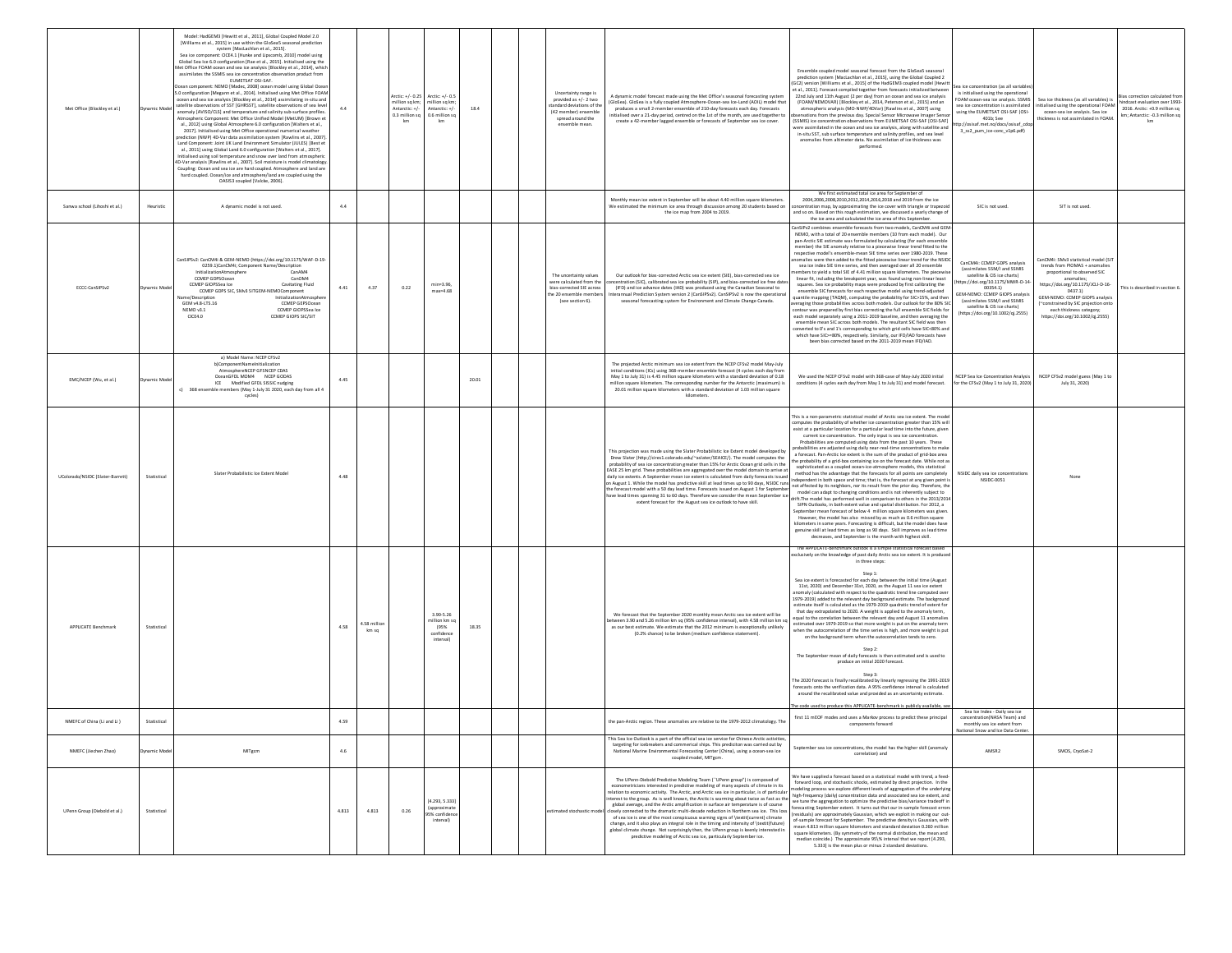| Met Office (Blockley et al.)     | Model: HadGEM3 [Hewitt et al., 2011], Global Coupled Model 2.0<br>[Williams et al., 2015] in use within the GloSea5 seasonal prediction<br>system [MacLachlan et al., 2015].<br>Sea ice component: CICE4.1 [Hunke and Lipscomb, 2010] model using<br>Global Sea Ice 6.0 configuration [Rae et al., 2015]. Initialised using the<br>Met Office FOAM ocean and sea ice analysis [Blockley et al., 2014], which<br>assimilates the SSMIS sea ice concentration observation product from<br>EUMETSAT OSI-SAF<br>Ocean component: NEMO [Madec, 2008] ocean model using Global Ocea<br>5.0 configuration [Megann et al., 2014]. Initialised using Met Office FOAM<br>ocean and sea ice analysis [Blockley et al., 2014] assimilating in-situ and<br>satellite observations of SST [GHRSST], satellite observations of sea level<br>mamic Mod<br>anomaly [AVISO/CLS] and temperature and salinity sub-surface profiles.<br>tmospheric Component: Met Office Unified Model (MetUM) [Brown et<br>al., 2012] using Global Atmosphere 6.0 configuration [Walters et al.,<br>2017]. Initialised using Met Office operational numerical weather<br>orediction (NWP) 4D-Var data assimilation system [Rawlins et al., 2007]<br>Land Component: Joint UK Land Environment Simulator (JULES) [Best et<br>al., 2011] using Global Land 6.0 configuration [Walters et al., 2017].<br>Initialised using soil temperature and snow over land from atmospheric<br>4D-Var analysis [Rawlins et al., 2007]. Soil moisture is model climatology<br>Coupling: Ocean and sea ice are hard coupled. Atmosphere and land are<br>hard coupled. Ocean/ice and atmosphere/land are coupled using the<br>OASIS3 coupled [Valcke, 2006]. |                                                                                                                               | 44    |                     | Arctic: +/- 0.25<br>million sq km;<br>Antarctic: +/-<br>0.3 million so<br>km | Arctic: +/- 0.5<br>million sq km;<br>Antarctic: +/-<br>0.6 million so<br>km | 18.4  | Uncertainty range is<br>provided as +/- 2 two<br>tandard deviations of th<br>(42 member) ensemble<br>spread around the<br>ensemble mean. | A dynamic model forecast made using the Met Office's seasonal forecasting system<br>GloSea). GloSea is a fully coupled Atmosphere-Ocean-sea Ice-Land (AOIL) model that<br>produces a small 2-member ensemble of 210-day forecasts each day. Forecasts<br>nitialised over a 21-day period, centred on the 1st of the month, are used together to<br>create a 42-member lagged ensemble or forecasts of September sea ice cover.                                                                                                                                                                                                                                                                                                                                                                                                                                                                | Ensemble coupled model seasonal forecast from the GloSeaS seasonal<br>prediction system [MacLachlan et al., 2015], using the Global Coupled 2<br>GC2) version [Williams et al., 2015] of the HadGEM3 coupled model [Hewit<br>t al., 2011]. Forecast compiled together from forecasts initialized between<br>22nd July and 11th August (2 per day) from an ocean and sea ice analysis<br>(FOAM/NEMOVAR) [Blockley et al., 2014, Peterson et al., 2015] and an<br>atmospheric analysis (MO-NWP/4DVar) [Rawlins et al., 2007] using<br>ervations from the previous day. Special Sensor Microwave Imager Sen<br>(SSMIS) ice concentration observations from EUMETSAF OSI-SAF [OSI-SAF]<br>vere assimilated in the ocean and sea ice analysis, along with satellite and<br>in-situ SST, sub surface temperature and salinity profiles, and sea level<br>anomalies from altimeter data. No assimilation of ice thickness was<br>performed.                                                                                                                                                                                                                                                                                                                                                                                                                                                                                                                                                                                                                                                | ea ice concentration (as all variable<br>is initialised using the operational<br>OAM ocean-sea ice analysis. SSMIS<br>sea ice concentration is assimilated<br>using the EUMETSAT OSI-SAF (OSI-<br>401b; See<br>://osisaf.met.no/docs/osisaf_cdi<br>3_ss2_pum_ice-conc_v1p6.pdf) | Bias correction calculated from<br>Sea ice thickness (as all variables) is<br>hindcast evaluation over 1993-<br>itialised using the operational FOAM<br>2016. Arctic: +0.9 million sq<br>ocean-sea ice analysis. Sea ice<br>km; Antarctic: - 0.3 million sq<br>ickness is not assimilated in FOAN<br>km                                        |
|----------------------------------|---------------------------------------------------------------------------------------------------------------------------------------------------------------------------------------------------------------------------------------------------------------------------------------------------------------------------------------------------------------------------------------------------------------------------------------------------------------------------------------------------------------------------------------------------------------------------------------------------------------------------------------------------------------------------------------------------------------------------------------------------------------------------------------------------------------------------------------------------------------------------------------------------------------------------------------------------------------------------------------------------------------------------------------------------------------------------------------------------------------------------------------------------------------------------------------------------------------------------------------------------------------------------------------------------------------------------------------------------------------------------------------------------------------------------------------------------------------------------------------------------------------------------------------------------------------------------------------------------------------------------------------------------------------------------------------------------------|-------------------------------------------------------------------------------------------------------------------------------|-------|---------------------|------------------------------------------------------------------------------|-----------------------------------------------------------------------------|-------|------------------------------------------------------------------------------------------------------------------------------------------|-----------------------------------------------------------------------------------------------------------------------------------------------------------------------------------------------------------------------------------------------------------------------------------------------------------------------------------------------------------------------------------------------------------------------------------------------------------------------------------------------------------------------------------------------------------------------------------------------------------------------------------------------------------------------------------------------------------------------------------------------------------------------------------------------------------------------------------------------------------------------------------------------|-------------------------------------------------------------------------------------------------------------------------------------------------------------------------------------------------------------------------------------------------------------------------------------------------------------------------------------------------------------------------------------------------------------------------------------------------------------------------------------------------------------------------------------------------------------------------------------------------------------------------------------------------------------------------------------------------------------------------------------------------------------------------------------------------------------------------------------------------------------------------------------------------------------------------------------------------------------------------------------------------------------------------------------------------------------------------------------------------------------------------------------------------------------------------------------------------------------------------------------------------------------------------------------------------------------------------------------------------------------------------------------------------------------------------------------------------------------------------------------------------------------------------------------------------------------------------------------|---------------------------------------------------------------------------------------------------------------------------------------------------------------------------------------------------------------------------------------------------------------------------------|------------------------------------------------------------------------------------------------------------------------------------------------------------------------------------------------------------------------------------------------------------------------------------------------------------------------------------------------|
| Sanwa school (Lihoshi et al.)    | Heuristic<br>A dynamic model is not used.                                                                                                                                                                                                                                                                                                                                                                                                                                                                                                                                                                                                                                                                                                                                                                                                                                                                                                                                                                                                                                                                                                                                                                                                                                                                                                                                                                                                                                                                                                                                                                                                                                                               |                                                                                                                               | 4.4   |                     |                                                                              |                                                                             |       |                                                                                                                                          | Monthly mean ice extent in September will be about 4.40 million square kilometers.<br>We estimated the minimum ice area through discussion among 20 students based on<br>the ice map from 2004 to 2019.                                                                                                                                                                                                                                                                                                                                                                                                                                                                                                                                                                                                                                                                                       | We first estimated total ice area for September of<br>2004,2006,2008,2010,2012,2014,2016,2018 and 2019 from the ice<br>oncentration map, by approximating the ice cover with triangle or trapez<br>and so on. Based on this rough estimation, we discussed a yearly change of<br>the ice area and calculated the ice area of this Septembe                                                                                                                                                                                                                                                                                                                                                                                                                                                                                                                                                                                                                                                                                                                                                                                                                                                                                                                                                                                                                                                                                                                                                                                                                                          | SIC is not used.                                                                                                                                                                                                                                                                | SIT is not used.                                                                                                                                                                                                                                                                                                                               |
| ECCC-CanSIPSv2                   | CanSIPSy2: CanCM4i & GEM-NEMO (https://doi.org/10.1175/WAF-D-19-<br>0259.1)CanCM4i; Component Name/Description<br>InitializationAtmospher<br>CCMEP GDPSOcean<br>CCMEP GIOPSSea Ice<br>namic Mo<br>CCMEP GDPS SIC, SMv3 SITGEM-NEMOComponent<br>Jame/De<br>GEM v4.8-LTS.16<br>NEMO v3.1<br>CICE4.0                                                                                                                                                                                                                                                                                                                                                                                                                                                                                                                                                                                                                                                                                                                                                                                                                                                                                                                                                                                                                                                                                                                                                                                                                                                                                                                                                                                                       | CanAMA<br>CanOM4<br>Cavitating Fluid<br>InitializationAtmosol<br>CCMEP GEPSOcean<br>CCMEP GIOPSSea Ice<br>CCMEP GIOPS SIC/SIT | 4.41  | 4.37                | 0.22                                                                         | $min=3.96$<br>$max=4.68$                                                    |       | The uncertainty values<br>were calculated from the<br>bias-corrected SIE acros:<br>the 20 ensemble member<br>(see section 6).            | Our outlook for bias-corrected Arctic sea ice extent (SIE), bias-corrected sea ice<br>centration (SIC), calibrated sea ice probability (SIP), and bias-corrected ice free date<br>(IFD) and ice advance dates (IAD) was produced using the Canadian Seasonal to<br>terannual Prediction System version 2 (CanSIPSy2). CanSIPSy2 is now the operations<br>seasonal forecasting system for Environment and Climate Change Canada.                                                                                                                                                                                                                                                                                                                                                                                                                                                               | CanSIPv2 combines ensemble forecasts from two models, CanCM4i and GEM<br>NEMO, with a total of 20 ensemble members (10 from each model). Our<br>pan-Arctic SIE estimate was formulated by calculating (for each ensembl<br>member) the SIE anomaly relative to a piecewise linear trend fitted to the<br>respective model's ensemble-mean SIE time series over 1980-2019. These<br>nomalies were then added to the fitted piecewise linear trend for the NSID<br>sea ice index SIE time series, and then averaged over all 20 ensemble<br>mbers to yield a total SIE of 4.41 million square kilometers. The piecewi<br>linear fit, including the breakpoint year, was found using non-linear least<br>squares. Sea ice probability maps were produced by first calibrating the<br>ensemble SIC forecasts for each respective model using trend-adjusted<br>uantile mapping (TAQM), computing the probability for SIC>15%, and the<br>eraging those probabilities across both models. Our outlook for the 80% SI<br>ontour was prepared by first bias correcting the full ensemble SIC fields for<br>each model separately using a 2011-2019 baseline, and then averaging the<br>ensemble mean SIC across both models. The resultant SIC field was then<br>onverted to 0's and 1's corresponding to which grid cells have SIC<80% and<br>which have SIC>=80%, respectively. Similarly, our IFD/IAD forecasts have<br>been bias corrected based on the 2011-2019 mean IFD/IAD.                                                                                                        | CanCM4i: CCMEP GDPS analysi<br>(assimilates SSM/I and SSMIS<br>satellite & CIS ice charts)<br>ttps://doi.org/10.1175/MWR-D-14<br>00354.1)<br>GEM-NEMO: CCMEP GIOPS analysis<br>(assimilates SSM/I and SSMIS<br>satellite & CIS ice charts)<br>(https://doi.org/10.1002/qj.2555) | CanCM4i: SMv3 statistical model (SI)<br>trends from PIOMAS + anomalies<br>proportional to observed SIC<br>anomalies:<br>https://doi.org/10.1175/JCLI-D-16-<br>This is described in section 6<br>0437.1<br>GEM-NEMO: CCMEP GIOPS analysi<br>rconstrained by SIC projection onto<br>each thickness category;<br>https://doi.org/10.1002/qj.2555) |
| EMC/NCEP (Wu, et al.)            | a) Model Name: NCEP CFSv2<br>b)ComponentNameInitializatio<br>AtmosphereNCEP GFSNCEP CDAS<br>OceanGFDL MOM4 NCEP GODAS<br>ynamic Mor<br>ICE Modified GFDL SISSIC nudging<br>c) 368 ensemble members (May 1-July 31 2020, each day from all<br>cycles)                                                                                                                                                                                                                                                                                                                                                                                                                                                                                                                                                                                                                                                                                                                                                                                                                                                                                                                                                                                                                                                                                                                                                                                                                                                                                                                                                                                                                                                    |                                                                                                                               | 4.45  |                     |                                                                              |                                                                             | 20.01 |                                                                                                                                          | The projected Arctic minimum sea ice extent from the NCEP CFSv2 model May-July<br>initial conditions (ICs) using 368-member ensemble forecast (4 cycles each day from<br>May 1 to July 31) is 4.45 million square kilometers with a standard deviation of 0.18<br>million square kilometers. The corresponding number for the Antarctic (maximum) is<br>20.01 million square kilometers with a standard deviation of 1.03 million square<br>kilometers                                                                                                                                                                                                                                                                                                                                                                                                                                        | We used the NCEP CFSv2 model with 368-case of May-July 2020 initial<br>conditions (4 cycles each day from May 1 to July 31) and model forecast.                                                                                                                                                                                                                                                                                                                                                                                                                                                                                                                                                                                                                                                                                                                                                                                                                                                                                                                                                                                                                                                                                                                                                                                                                                                                                                                                                                                                                                     | <b>NCEP Sea Ice Concentration Analysis</b><br>for the CFSv2 (May 1 to July 31, 2020)                                                                                                                                                                                            | NCEP CFSv2 model guess (May 1 to<br>July 31, 2020)                                                                                                                                                                                                                                                                                             |
| UColorado/NSIDC (Slater-Barrett) | Slater Probabilistic Ice Extent Model<br>Statistica                                                                                                                                                                                                                                                                                                                                                                                                                                                                                                                                                                                                                                                                                                                                                                                                                                                                                                                                                                                                                                                                                                                                                                                                                                                                                                                                                                                                                                                                                                                                                                                                                                                     |                                                                                                                               | 4.48  |                     |                                                                              |                                                                             |       |                                                                                                                                          | This projection was made using the Slater Probabilistic Ice Extent model developed by<br>Drew Slater (http://cires1.colorado.edu/~aslater/SEAICE/). The model computes the<br>probability of sea ice concentration greater than 15% for Arctic Ocean grid cells in the<br>EASE 25 km grid. These probabilities are aggregated over the model domain to arrive at<br>daily ice extents. A September mean ice extent is calculated from daily forecasts issued<br>on August 1. While the model has predictive skill at lead times up to 90 days, NSIDC runs<br>he forecast model with a 50 day lead time. Forecasts issued on August 1 for Septembe<br>have lead times spanning 31 to 60 days. Therefore we consider the mean September ic<br>extent forecast for the August sea ice outlook to have skill.                                                                                     | his is a non-parametric statistical model of Arctic sea ice extent. The mod<br>computes the probability of whether ice concentration greater than 15% wil<br>exist at a particular location for a particular lead time into the future, given<br>current ice concentration. The only input is sea ice concentration<br>Probabilities are computed using data from the past 10 years. These<br>robabilities are adjusted using daily near-real-time concentrations to mak<br>a forecast. Pan-Arctic Ice extent is the sum of the product of grid-box area<br>e probability of a grid-box containing ice on the forecast date. While not a<br>sophisticated as a coupled ocean-ice-atmosphere models, this statistical<br>method has the advantage that the forecasts for all points are completely<br>dependent in both space and time; that is, the forecast at any given point<br>not affected by its neighbors, nor its result from the prior day. Therefore, th<br>model can adapt to changing conditions and is not inherently subject to<br>ift. The model has performed well in comparison to others in the 2013/201<br>SIPN Outlooks, in both extent value and spatial distribution. For 2012, a<br>september mean forecast of below 4 million square kilometers was given<br>However, the model has also missed by as much as 0.6 million square<br>kilometers in some years. Forecasting is difficult, but the model does have<br>genuine skill at lead times as long as 90 days. Skill improves as lead time<br>decreases, and September is the month with highest skill. | <b>VSIDC</b> daily sea ice concentrations<br>NSIDC-0051                                                                                                                                                                                                                         | Non                                                                                                                                                                                                                                                                                                                                            |
| <b>APPLICATE Benchmark</b>       | Statistica                                                                                                                                                                                                                                                                                                                                                                                                                                                                                                                                                                                                                                                                                                                                                                                                                                                                                                                                                                                                                                                                                                                                                                                                                                                                                                                                                                                                                                                                                                                                                                                                                                                                                              |                                                                                                                               | 4.58  | 4.58 milli<br>km sq |                                                                              | 3.90-5.26<br>million km sq<br>(95%<br>confidence<br>interval)               | 18.35 |                                                                                                                                          | We forecast that the September 2020 monthly mean Arctic sea ice extent will be<br>etween 3.90 and 5.26 million km sq (95% confidence interval), with 4.58 million km sq<br>as our best estimate. We estimate that the 2012 minimum is exceptionally unlikely<br>(0.2% chance) to be broken (medium confidence statement).                                                                                                                                                                                                                                                                                                                                                                                                                                                                                                                                                                     | The APPLICATE-benchmark outlook is a simple statistical forecast based<br>xclusively on the knowledge of past daily Arctic sea ice extent. It is produced<br>in three steps:<br>Step 1:<br>Sea ice extent is forecasted for each day between the initial time (Augus<br>11st, 2020) and December 31st, 2020, as the August 11 sea ice extent<br>anomaly (calculated with respect to the quadratic trend line computed ove<br>1979-2019) added to the relevant day background estimate. The backgroun<br>estimate itself is calculated as the 1979-2019 quadratic trend of extent for<br>that day extrapolated to 2020. A weight is applied to the anomaly term,<br>gual to the correlation between the relevant day and August 11 anomalis<br>estimated over 1979-2019 so that more weight is put on the anomaly term<br>when the autocorrelation of the time series is high, and more weight is put<br>on the background term when the autocorrelation tends to zero<br>Step 2:<br>The September mean of daily forecasts is then estimated and is used to<br>produce an initial 2020 forecast<br>Step 3:<br>The 2020 forecast is finally recalibrated by linearly regressing the 1991-2019<br>forecasts onto the verification data. A 95% confidence interval is calculated<br>around the recalibrated value and provided as an uncertainty estimate.                                                                                                                                                                                                                              |                                                                                                                                                                                                                                                                                 |                                                                                                                                                                                                                                                                                                                                                |
| NMEFC of China (Li and Li )      | Statistica                                                                                                                                                                                                                                                                                                                                                                                                                                                                                                                                                                                                                                                                                                                                                                                                                                                                                                                                                                                                                                                                                                                                                                                                                                                                                                                                                                                                                                                                                                                                                                                                                                                                                              |                                                                                                                               | 4.59  |                     |                                                                              |                                                                             |       |                                                                                                                                          | the pan-Arctic region. These anomalies are relative to the 1979-2012 climatology. The                                                                                                                                                                                                                                                                                                                                                                                                                                                                                                                                                                                                                                                                                                                                                                                                         | e code used to produce this APPLICATE-benchmark is publicly<br>first 11 mEOF modes and uses a Markov process to predict these principal<br>components forward                                                                                                                                                                                                                                                                                                                                                                                                                                                                                                                                                                                                                                                                                                                                                                                                                                                                                                                                                                                                                                                                                                                                                                                                                                                                                                                                                                                                                       | Sea Ice Index - Daily sea ice<br>concentration(NASA Team) and<br>monthly sea ice extent from<br>National Snow and Ice Data Center                                                                                                                                               |                                                                                                                                                                                                                                                                                                                                                |
| NMEFC (Jiechen Zhao)             | <b>Jynamic More</b><br>MITgcm                                                                                                                                                                                                                                                                                                                                                                                                                                                                                                                                                                                                                                                                                                                                                                                                                                                                                                                                                                                                                                                                                                                                                                                                                                                                                                                                                                                                                                                                                                                                                                                                                                                                           |                                                                                                                               | 4.6   |                     |                                                                              |                                                                             |       |                                                                                                                                          | This Sea Ice Outlook is a part of the official sea ice service for Chinese Arctic activiti<br>targeting for icebreakers and commerical ships. This prediciton was carried out by<br>National Marine Environmental Forecasting Center (China), using a ocean-sea ice<br>coupled model, MITgcm.                                                                                                                                                                                                                                                                                                                                                                                                                                                                                                                                                                                                 | September sea ice concentrations, the model has the higher skill (anomaly<br>correlation) and                                                                                                                                                                                                                                                                                                                                                                                                                                                                                                                                                                                                                                                                                                                                                                                                                                                                                                                                                                                                                                                                                                                                                                                                                                                                                                                                                                                                                                                                                       | AMSR2                                                                                                                                                                                                                                                                           | SMOS, CryoSat-2                                                                                                                                                                                                                                                                                                                                |
| UPenn Group (Diebold et al.)     | Statistica                                                                                                                                                                                                                                                                                                                                                                                                                                                                                                                                                                                                                                                                                                                                                                                                                                                                                                                                                                                                                                                                                                                                                                                                                                                                                                                                                                                                                                                                                                                                                                                                                                                                                              |                                                                                                                               | 4.813 | 4.813               | 0.26                                                                         | [4.293, 5.333]<br>(approximate<br>5% confidence<br>interval)                |       |                                                                                                                                          | The UPenn-Diebold Predictive Modeling Team ("UPenn group") is composed of<br>econometricians interested in predictive modeling of many aspects of climate in its<br>elation to economic activity. The Arctic, and Arctic sea ice in particular, is of particular<br>terest to the group. As is well known, the Arctic is warming about twice as fast as the<br>global average, and the Arctic amplification in surface air temperature is of course<br>ely connected to the dramatic multi-decade reduction in Northern sea ice. This los:<br>of sea ice is one of the most conspicuous warning signs of \textit(current) climate<br>change, and it also plays an integral role in the timing and intensity of \textit[future}<br>global climate change. Not surprisingly then, the UPenn group is keenly interested in<br>predictive modeling of Arctic sea ice, particularly September ice. | Ve have supplied a forecast based on a statistical model with trend, a feed<br>forward loop, and stochastic shocks, estimated by direct projection. In the<br>odeling process we explore different levels of aggregation of the underlyin<br>igh-frequency (daily) concentration data and associated sea ice extent, an<br>re tune the aggregation to optimize the predictive bias/variance tradeoff in<br>orecasting September extent. It turns out that our in-sample forecast error<br>esiduals) are approximately Gaussian, which we exploit in making our out<br>of-sample forecast for September. The predictive density is Gaussian, with<br>mean 4.813 million square kilometers and standard deviation 0.260 million<br>square kilometers. (By symmetry of the normal distribution, the mean and<br>median coincide.) The approximate 95\% interval that we report [4.293,<br>5.333] is the mean plus or minus 2 standard deviations.                                                                                                                                                                                                                                                                                                                                                                                                                                                                                                                                                                                                                                      |                                                                                                                                                                                                                                                                                 |                                                                                                                                                                                                                                                                                                                                                |